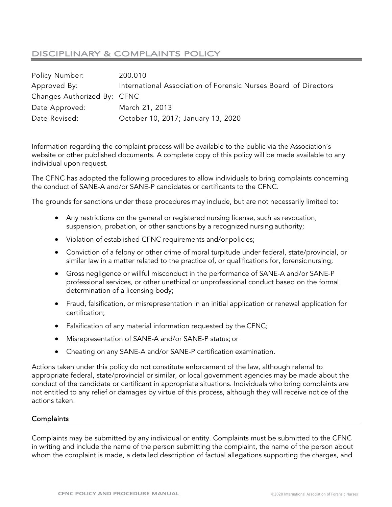# DISCIPLINARY & COMPLAINTS POLICY

| Policy Number:              | 200.010                                                         |
|-----------------------------|-----------------------------------------------------------------|
| Approved By:                | International Association of Forensic Nurses Board of Directors |
| Changes Authorized By: CFNC |                                                                 |
| Date Approved:              | March 21, 2013                                                  |
| Date Revised:               | October 10, 2017; January 13, 2020                              |

Information regarding the complaint process will be available to the public via the Association's website or other published documents. A complete copy of this policy will be made available to any individual upon request.

The CFNC has adopted the following procedures to allow individuals to bring complaints concerning the conduct of SANE-A and/or SANE-P candidates or certificants to the CFNC.

The grounds for sanctions under these procedures may include, but are not necessarily limited to:

- Any restrictions on the general or registered nursing license, such as revocation, suspension, probation, or other sanctions by a recognized nursing authority;
- Violation of established CFNC requirements and/or policies;
- Conviction of a felony or other crime of moral turpitude under federal, state/provincial, or similar law in a matter related to the practice of, or qualifications for, forensic nursing;
- Gross negligence or willful misconduct in the performance of SANE-A and/or SANE-P professional services, or other unethical or unprofessional conduct based on the formal determination of a licensing body;
- Fraud, falsification, or misrepresentation in an initial application or renewal application for certification;
- Falsification of any material information requested by the CFNC;
- Misrepresentation of SANE-A and/or SANE-P status; or
- Cheating on any SANE-A and/or SANE-P certification examination.

Actions taken under this policy do not constitute enforcement of the law, although referral to appropriate federal, state/provincial or similar, or local government agencies may be made about the conduct of the candidate or certificant in appropriate situations. Individuals who bring complaints are not entitled to any relief or damages by virtue of this process, although they will receive notice of the actions taken.

#### **Complaints**

Complaints may be submitted by any individual or entity. Complaints must be submitted to the CFNC in writing and include the name of the person submitting the complaint, the name of the person about whom the complaint is made, a detailed description of factual allegations supporting the charges, and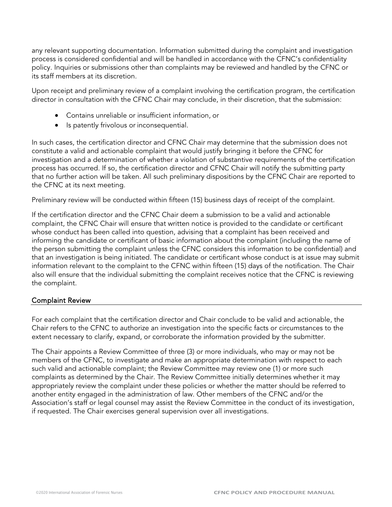any relevant supporting documentation. Information submitted during the complaint and investigation process is considered confidential and will be handled in accordance with the CFNC's confidentiality policy. Inquiries or submissions other than complaints may be reviewed and handled by the CFNC or its staff members at its discretion.

Upon receipt and preliminary review of a complaint involving the certification program, the certification director in consultation with the CFNC Chair may conclude, in their discretion, that the submission:

- Contains unreliable or insufficient information, or
- Is patently frivolous or inconsequential.

In such cases, the certification director and CFNC Chair may determine that the submission does not constitute a valid and actionable complaint that would justify bringing it before the CFNC for investigation and a determination of whether a violation of substantive requirements of the certification process has occurred. If so, the certification director and CFNC Chair will notify the submitting party that no further action will be taken. All such preliminary dispositions by the CFNC Chair are reported to the CFNC at its next meeting.

Preliminary review will be conducted within fifteen (15) business days of receipt of the complaint.

If the certification director and the CFNC Chair deem a submission to be a valid and actionable complaint, the CFNC Chair will ensure that written notice is provided to the candidate or certificant whose conduct has been called into question, advising that a complaint has been received and informing the candidate or certificant of basic information about the complaint (including the name of the person submitting the complaint unless the CFNC considers this information to be confidential) and that an investigation is being initiated. The candidate or certificant whose conduct is at issue may submit information relevant to the complaint to the CFNC within fifteen (15) days of the notification. The Chair also will ensure that the individual submitting the complaint receives notice that the CFNC is reviewing the complaint.

# Complaint Review

For each complaint that the certification director and Chair conclude to be valid and actionable, the Chair refers to the CFNC to authorize an investigation into the specific facts or circumstances to the extent necessary to clarify, expand, or corroborate the information provided by the submitter.

The Chair appoints a Review Committee of three (3) or more individuals, who may or may not be members of the CFNC, to investigate and make an appropriate determination with respect to each such valid and actionable complaint; the Review Committee may review one (1) or more such complaints as determined by the Chair. The Review Committee initially determines whether it may appropriately review the complaint under these policies or whether the matter should be referred to another entity engaged in the administration of law. Other members of the CFNC and/or the Association's staff or legal counsel may assist the Review Committee in the conduct of its investigation, if requested. The Chair exercises general supervision over all investigations.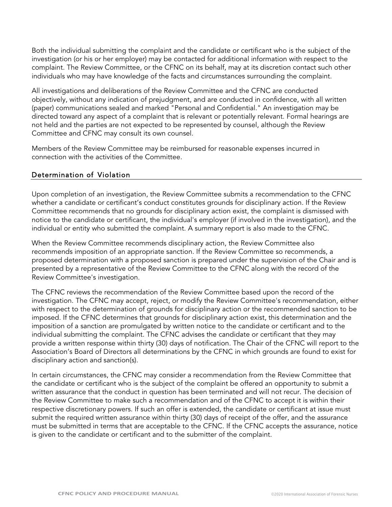Both the individual submitting the complaint and the candidate or certificant who is the subject of the investigation (or his or her employer) may be contacted for additional information with respect to the complaint. The Review Committee, or the CFNC on its behalf, may at its discretion contact such other individuals who may have knowledge of the facts and circumstances surrounding the complaint.

All investigations and deliberations of the Review Committee and the CFNC are conducted objectively, without any indication of prejudgment, and are conducted in confidence, with all written (paper) communications sealed and marked "Personal and Confidential." An investigation may be directed toward any aspect of a complaint that is relevant or potentially relevant. Formal hearings are not held and the parties are not expected to be represented by counsel, although the Review Committee and CFNC may consult its own counsel.

Members of the Review Committee may be reimbursed for reasonable expenses incurred in connection with the activities of the Committee.

### Determination of Violation

Upon completion of an investigation, the Review Committee submits a recommendation to the CFNC whether a candidate or certificant's conduct constitutes grounds for disciplinary action. If the Review Committee recommends that no grounds for disciplinary action exist, the complaint is dismissed with notice to the candidate or certificant, the individual's employer (if involved in the investigation), and the individual or entity who submitted the complaint. A summary report is also made to the CFNC.

When the Review Committee recommends disciplinary action, the Review Committee also recommends imposition of an appropriate sanction. If the Review Committee so recommends, a proposed determination with a proposed sanction is prepared under the supervision of the Chair and is presented by a representative of the Review Committee to the CFNC along with the record of the Review Committee's investigation.

The CFNC reviews the recommendation of the Review Committee based upon the record of the investigation. The CFNC may accept, reject, or modify the Review Committee's recommendation, either with respect to the determination of grounds for disciplinary action or the recommended sanction to be imposed. If the CFNC determines that grounds for disciplinary action exist, this determination and the imposition of a sanction are promulgated by written notice to the candidate or certificant and to the individual submitting the complaint. The CFNC advises the candidate or certificant that they may provide a written response within thirty (30) days of notification. The Chair of the CFNC will report to the Association's Board of Directors all determinations by the CFNC in which grounds are found to exist for disciplinary action and sanction(s).

In certain circumstances, the CFNC may consider a recommendation from the Review Committee that the candidate or certificant who is the subject of the complaint be offered an opportunity to submit a written assurance that the conduct in question has been terminated and will not recur. The decision of the Review Committee to make such a recommendation and of the CFNC to accept it is within their respective discretionary powers. If such an offer is extended, the candidate or certificant at issue must submit the required written assurance within thirty (30) days of receipt of the offer, and the assurance must be submitted in terms that are acceptable to the CFNC. If the CFNC accepts the assurance, notice is given to the candidate or certificant and to the submitter of the complaint.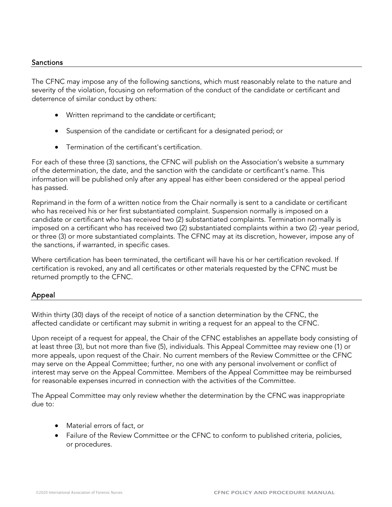#### Sanctions

The CFNC may impose any of the following sanctions, which must reasonably relate to the nature and severity of the violation, focusing on reformation of the conduct of the candidate or certificant and deterrence of similar conduct by others:

- Written reprimand to the candidate or certificant;
- Suspension of the candidate or certificant for a designated period; or
- Termination of the certificant's certification.

For each of these three (3) sanctions, the CFNC will publish on the Association's website a summary of the determination, the date, and the sanction with the candidate or certificant's name. This information will be published only after any appeal has either been considered or the appeal period has passed.

Reprimand in the form of a written notice from the Chair normally is sent to a candidate or certificant who has received his or her first substantiated complaint. Suspension normally is imposed on a candidate or certificant who has received two (2) substantiated complaints. Termination normally is imposed on a certificant who has received two (2) substantiated complaints within a two (2) -year period, or three (3) or more substantiated complaints. The CFNC may at its discretion, however, impose any of the sanctions, if warranted, in specific cases.

Where certification has been terminated, the certificant will have his or her certification revoked. If certification is revoked, any and all certificates or other materials requested by the CFNC must be returned promptly to the CFNC.

# Appeal

Within thirty (30) days of the receipt of notice of a sanction determination by the CFNC, the affected candidate or certificant may submit in writing a request for an appeal to the CFNC.

Upon receipt of a request for appeal, the Chair of the CFNC establishes an appellate body consisting of at least three (3), but not more than five (5), individuals. This Appeal Committee may review one (1) or more appeals, upon request of the Chair. No current members of the Review Committee or the CFNC may serve on the Appeal Committee; further, no one with any personal involvement or conflict of interest may serve on the Appeal Committee. Members of the Appeal Committee may be reimbursed for reasonable expenses incurred in connection with the activities of the Committee.

The Appeal Committee may only review whether the determination by the CFNC was inappropriate due to:

- Material errors of fact, or
- Failure of the Review Committee or the CFNC to conform to published criteria, policies, or procedures.